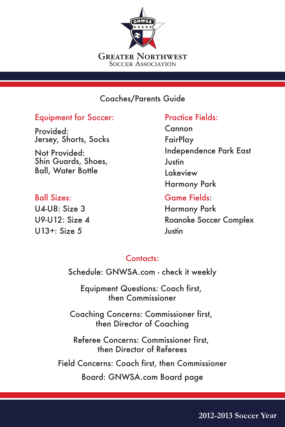

## Coaches/Parents Guide

#### Equipment for Soccer:

Provided: Jersey, Shorts, Socks

Not Provided: Shin Guards, Shoes, Ball, Water Bottle

#### Ball Sizes:

 $U4-U8: Size 3$ U9-U12: Size 4 U13+: Size 5

# Practice Fields: Cannon **FairPlay** Independence Park East **Justin** Lakeview Harmony Park

Game Fields: Harmony Park Roanoke Soccer Complex **Justin** 

### Contacts:

Schedule: GNWSA.com - check it weekly

Equipment Questions: Coach first, then Commissioner

Coaching Concerns: Commissioner first, then Director of Coaching

Referee Concerns: Commissioner first, then Director of Referees

Field Concerns: Coach first, then Commissioner Board: GNWSA.com Board page

**2012-2013 Soccer Year**